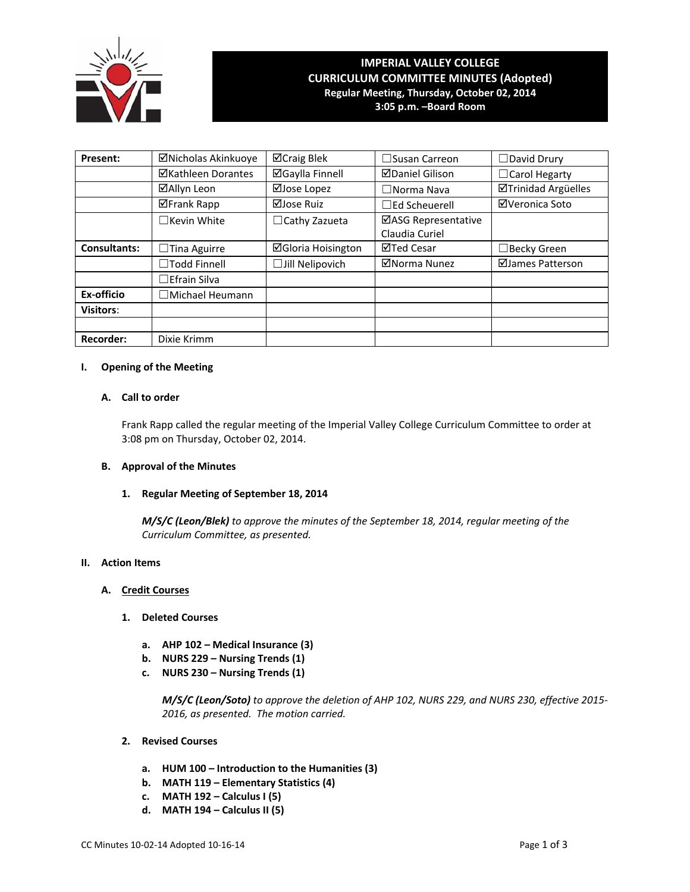

### **IMPERIAL VALLEY COLLEGE CURRICULUM COMMITTEE MINUTES (Adopted) Regular Meeting, Thursday, October 02, 2014**

**3:05 p.m. –Board Room**

| Present:            | ⊠Nicholas Akinkuoye       | <b>⊠Craig Blek</b>        | $\square$ Susan Carreon | $\Box$ David Drury         |
|---------------------|---------------------------|---------------------------|-------------------------|----------------------------|
|                     | <b>⊠Kathleen Dorantes</b> | <b>⊠Gaylla Finnell</b>    | <b>ØDaniel Gilison</b>  | $\Box$ Carol Hegarty       |
|                     | ⊠Allyn Leon               | ⊠Jose Lopez               | $\Box$ Norma Nava       | <b>ØTrinidad Argüelles</b> |
|                     | <b>⊠Frank Rapp</b>        | ⊠Jose Ruiz                | $\Box$ Ed Scheuerell    | ⊠Veronica Soto             |
|                     | $\Box$ Kevin White        | $\Box$ Cathy Zazueta      | ⊠ASG Representative     |                            |
|                     |                           |                           | Claudia Curiel          |                            |
| <b>Consultants:</b> | Tina Aguirre<br>⊔         | <b>⊠Gloria Hoisington</b> | ⊠Ted Cesar              | ∃Becky Green               |
|                     | $\Box$ Todd Finnell       | $\Box$ Jill Nelipovich    | ⊠Norma Nunez            | ⊠James Patterson           |
|                     | $\Box$ Efrain Silva       |                           |                         |                            |
| Ex-officio          | □ Michael Heumann         |                           |                         |                            |
| <b>Visitors:</b>    |                           |                           |                         |                            |
|                     |                           |                           |                         |                            |
| <b>Recorder:</b>    | Dixie Krimm               |                           |                         |                            |

### **I. Opening of the Meeting**

### **A. Call to order**

Frank Rapp called the regular meeting of the Imperial Valley College Curriculum Committee to order at 3:08 pm on Thursday, October 02, 2014.

### **B. Approval of the Minutes**

### **1. Regular Meeting of September 18, 2014**

*M/S/C (Leon/Blek) to approve the minutes of the September 18, 2014, regular meeting of the Curriculum Committee, as presented.* 

### **II. Action Items**

### **A. Credit Courses**

- **1. Deleted Courses**
	- **a. AHP 102 – Medical Insurance (3)**
	- **b. NURS 229 – Nursing Trends (1)**
	- **c. NURS 230 – Nursing Trends (1)**

*M/S/C (Leon/Soto) to approve the deletion of AHP 102, NURS 229, and NURS 230, effective 2015‐ 2016, as presented. The motion carried.*

- **2. Revised Courses**
	- **a. HUM 100 – Introduction to the Humanities (3)**
	- **b. MATH 119 – Elementary Statistics (4)**
	- **c. MATH 192 – Calculus I (5)**
	- **d. MATH 194 – Calculus II (5)**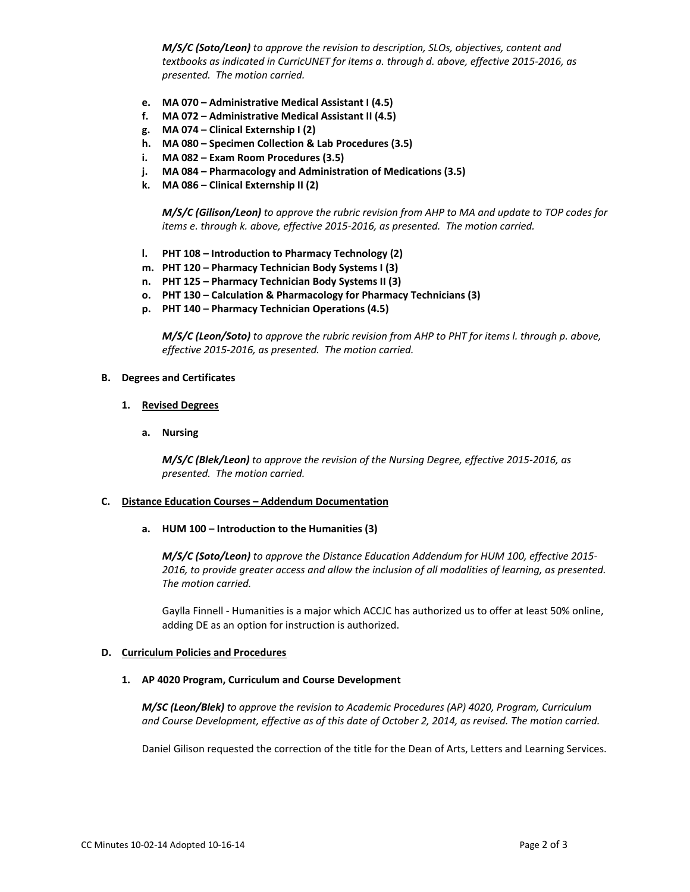*M/S/C (Soto/Leon) to approve the revision to description, SLOs, objectives, content and textbooks as indicated in CurricUNET for items a. through d. above, effective 2015‐2016, as presented. The motion carried.*

- **e. MA 070 – Administrative Medical Assistant I (4.5)**
- **f. MA 072 – Administrative Medical Assistant II (4.5)**
- **g. MA 074 – Clinical Externship I (2)**
- **h. MA 080 – Specimen Collection & Lab Procedures (3.5)**
- **i. MA 082 – Exam Room Procedures (3.5)**
- **j. MA 084 – Pharmacology and Administration of Medications (3.5)**
- **k. MA 086 – Clinical Externship II (2)**

*M/S/C (Gilison/Leon) to approve the rubric revision from AHP to MA and update to TOP codes for items e. through k. above, effective 2015‐2016, as presented. The motion carried.*

- **l. PHT 108 – Introduction to Pharmacy Technology (2)**
- **m. PHT 120 – Pharmacy Technician Body Systems I (3)**
- **n. PHT 125 – Pharmacy Technician Body Systems II (3)**
- **o. PHT 130 – Calculation & Pharmacology for Pharmacy Technicians (3)**
- **p. PHT 140 – Pharmacy Technician Operations (4.5)**

*M/S/C (Leon/Soto) to approve the rubric revision from AHP to PHT for items l. through p. above, effective 2015‐2016, as presented. The motion carried.*

### **B. Degrees and Certificates**

- **1. Revised Degrees**
	- **a. Nursing**

*M/S/C (Blek/Leon) to approve the revision of the Nursing Degree, effective 2015‐2016, as presented. The motion carried.*

### **C. Distance Education Courses – Addendum Documentation**

 **a. HUM 100 – Introduction to the Humanities (3)**

*M/S/C (Soto/Leon) to approve the Distance Education Addendum for HUM 100, effective 2015‐ 2016, to provide greater access and allow the inclusion of all modalities of learning, as presented. The motion carried.*

Gaylla Finnell ‐ Humanities is a major which ACCJC has authorized us to offer at least 50% online, adding DE as an option for instruction is authorized.

### **D. Curriculum Policies and Procedures**

### **1. AP 4020 Program, Curriculum and Course Development**

*M/SC (Leon/Blek) to approve the revision to Academic Procedures (AP) 4020, Program, Curriculum and Course Development, effective as of this date of October 2, 2014, as revised. The motion carried.*

Daniel Gilison requested the correction of the title for the Dean of Arts, Letters and Learning Services.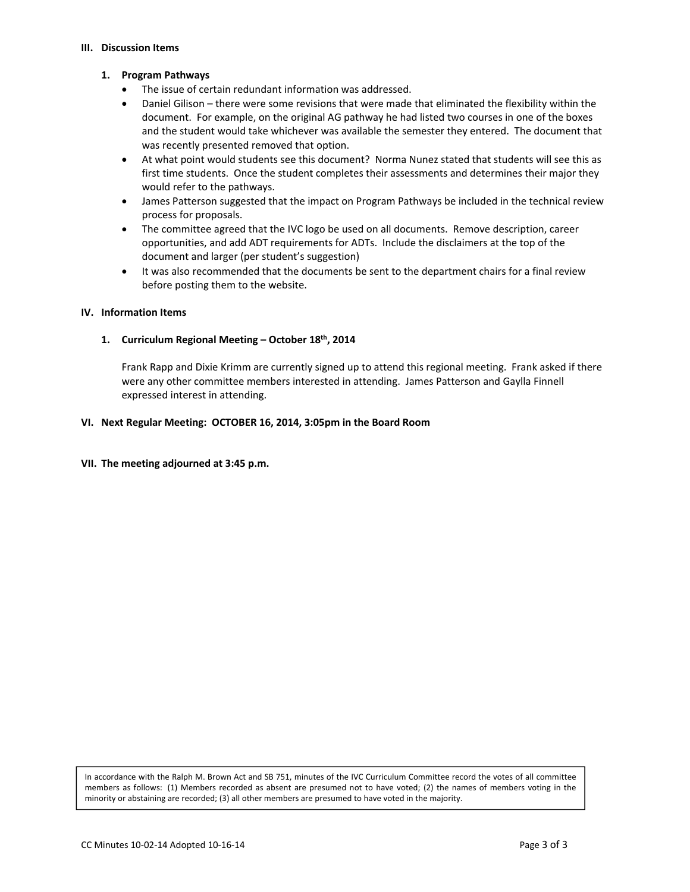#### **III. Discussion Items**

### **1. Program Pathways**

- The issue of certain redundant information was addressed.
- Daniel Gilison there were some revisions that were made that eliminated the flexibility within the document. For example, on the original AG pathway he had listed two courses in one of the boxes and the student would take whichever was available the semester they entered. The document that was recently presented removed that option.
- At what point would students see this document? Norma Nunez stated that students will see this as first time students. Once the student completes their assessments and determines their major they would refer to the pathways.
- James Patterson suggested that the impact on Program Pathways be included in the technical review process for proposals.
- The committee agreed that the IVC logo be used on all documents. Remove description, career opportunities, and add ADT requirements for ADTs. Include the disclaimers at the top of the document and larger (per student's suggestion)
- It was also recommended that the documents be sent to the department chairs for a final review before posting them to the website.

### **IV. Information Items**

### **1. Curriculum Regional Meeting – October 18th, 2014**

Frank Rapp and Dixie Krimm are currently signed up to attend this regional meeting. Frank asked if there were any other committee members interested in attending. James Patterson and Gaylla Finnell expressed interest in attending.

### **VI. Next Regular Meeting: OCTOBER 16, 2014, 3:05pm in the Board Room**

### **VII. The meeting adjourned at 3:45 p.m.**

In accordance with the Ralph M. Brown Act and SB 751, minutes of the IVC Curriculum Committee record the votes of all committee members as follows: (1) Members recorded as absent are presumed not to have voted; (2) the names of members voting in the minority or abstaining are recorded; (3) all other members are presumed to have voted in the majority.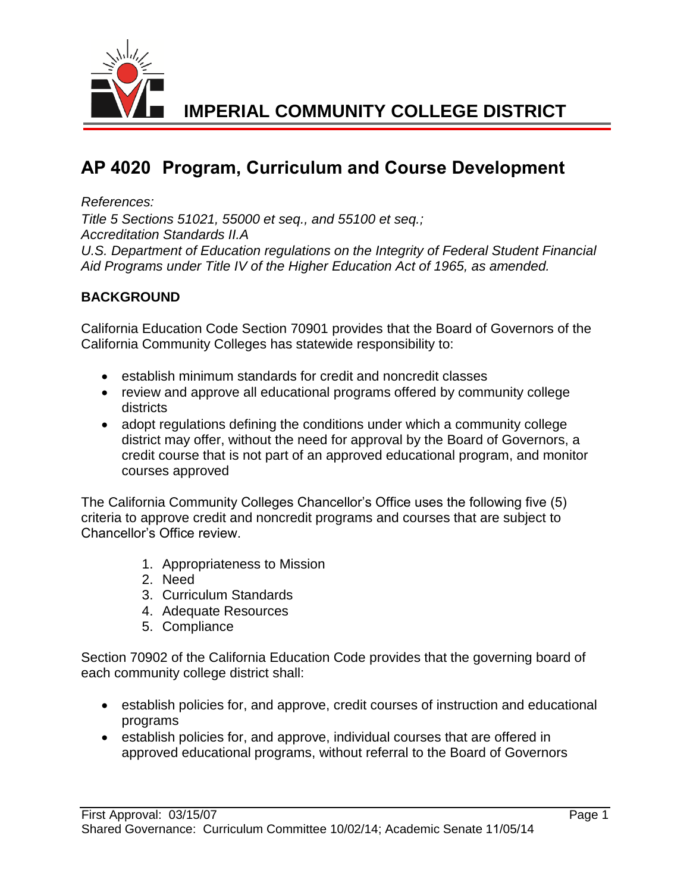

# **AP 4020 Program, Curriculum and Course Development**

## *References:*

*Title 5 Sections 51021, 55000 et seq., and 55100 et seq.; Accreditation Standards II.A U.S. Department of Education regulations on the Integrity of Federal Student Financial Aid Programs under Title IV of the Higher Education Act of 1965, as amended.* 

## **BACKGROUND**

California Education Code Section 70901 provides that the Board of Governors of the California Community Colleges has statewide responsibility to:

- establish minimum standards for credit and noncredit classes
- review and approve all educational programs offered by community college districts
- adopt regulations defining the conditions under which a community college district may offer, without the need for approval by the Board of Governors, a credit course that is not part of an approved educational program, and monitor courses approved

The California Community Colleges Chancellor's Office uses the following five (5) criteria to approve credit and noncredit programs and courses that are subject to Chancellor's Office review.

- 1. Appropriateness to Mission
- 2. Need
- 3. Curriculum Standards
- 4. Adequate Resources
- 5. Compliance

Section 70902 of the California Education Code provides that the governing board of each community college district shall:

- establish policies for, and approve, credit courses of instruction and educational programs
- establish policies for, and approve, individual courses that are offered in approved educational programs, without referral to the Board of Governors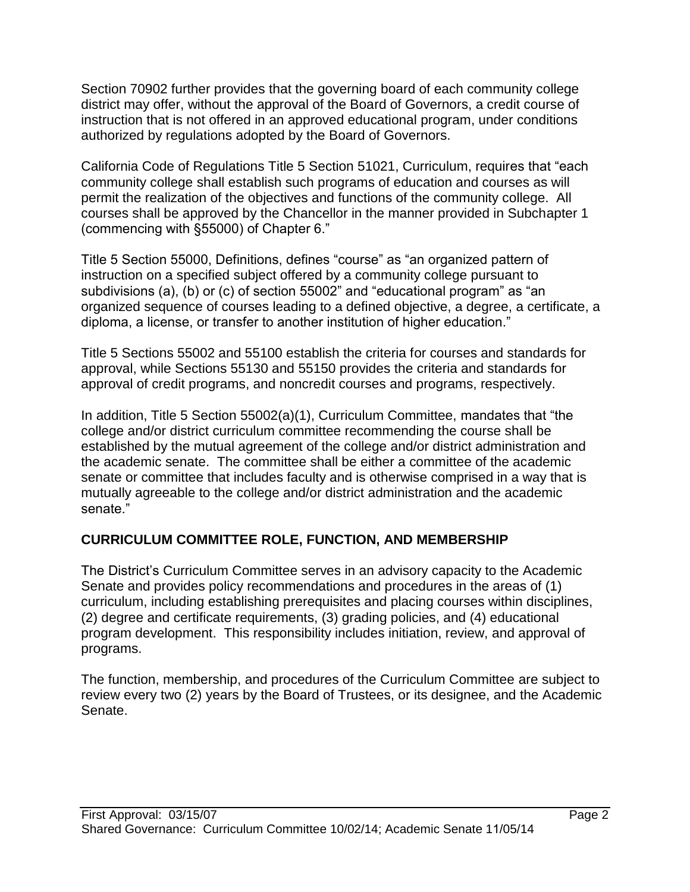Section 70902 further provides that the governing board of each community college district may offer, without the approval of the Board of Governors, a credit course of instruction that is not offered in an approved educational program, under conditions authorized by regulations adopted by the Board of Governors.

California Code of Regulations Title 5 Section 51021, Curriculum, requires that "each community college shall establish such programs of education and courses as will permit the realization of the objectives and functions of the community college. All courses shall be approved by the Chancellor in the manner provided in Subchapter 1 (commencing with §55000) of Chapter 6."

Title 5 Section 55000, Definitions, defines "course" as "an organized pattern of instruction on a specified subject offered by a community college pursuant to subdivisions (a), (b) or (c) of section 55002" and "educational program" as "an organized sequence of courses leading to a defined objective, a degree, a certificate, a diploma, a license, or transfer to another institution of higher education."

Title 5 Sections 55002 and 55100 establish the criteria for courses and standards for approval, while Sections 55130 and 55150 provides the criteria and standards for approval of credit programs, and noncredit courses and programs, respectively.

In addition, Title 5 Section 55002(a)(1), Curriculum Committee, mandates that "the college and/or district curriculum committee recommending the course shall be established by the mutual agreement of the college and/or district administration and the academic senate. The committee shall be either a committee of the academic senate or committee that includes faculty and is otherwise comprised in a way that is mutually agreeable to the college and/or district administration and the academic senate."

## **CURRICULUM COMMITTEE ROLE, FUNCTION, AND MEMBERSHIP**

The District's Curriculum Committee serves in an advisory capacity to the Academic Senate and provides policy recommendations and procedures in the areas of (1) curriculum, including establishing prerequisites and placing courses within disciplines, (2) degree and certificate requirements, (3) grading policies, and (4) educational program development. This responsibility includes initiation, review, and approval of programs.

The function, membership, and procedures of the Curriculum Committee are subject to review every two (2) years by the Board of Trustees, or its designee, and the Academic Senate.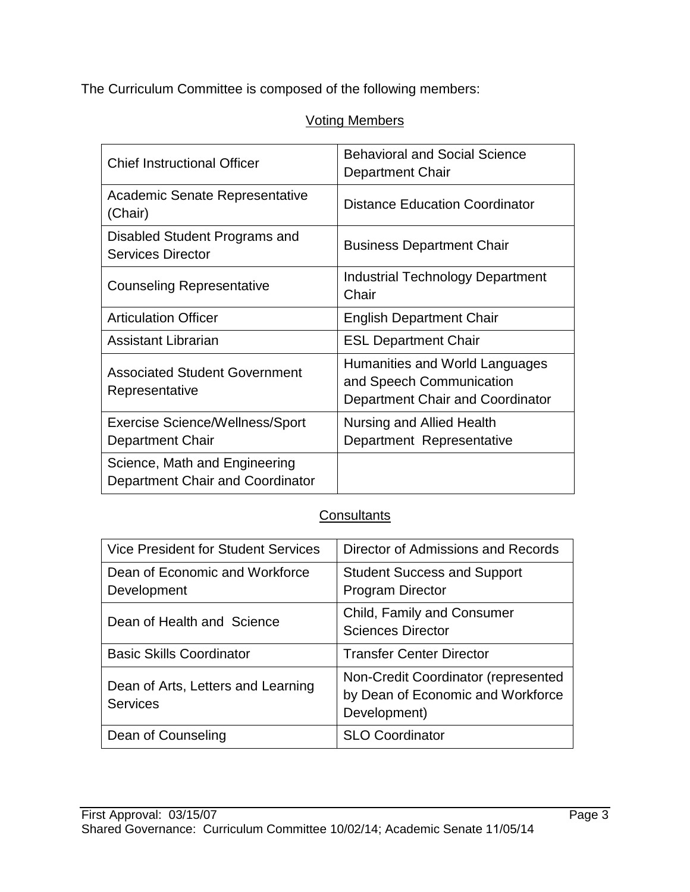The Curriculum Committee is composed of the following members:

# Voting Members

| <b>Chief Instructional Officer</b>                                | <b>Behavioral and Social Science</b><br><b>Department Chair</b>                                |  |
|-------------------------------------------------------------------|------------------------------------------------------------------------------------------------|--|
| Academic Senate Representative<br>(Chair)                         | <b>Distance Education Coordinator</b>                                                          |  |
| Disabled Student Programs and<br><b>Services Director</b>         | <b>Business Department Chair</b>                                                               |  |
| <b>Counseling Representative</b>                                  | <b>Industrial Technology Department</b><br>Chair                                               |  |
| <b>Articulation Officer</b>                                       | <b>English Department Chair</b>                                                                |  |
| Assistant Librarian                                               | <b>ESL Department Chair</b>                                                                    |  |
| <b>Associated Student Government</b><br>Representative            | Humanities and World Languages<br>and Speech Communication<br>Department Chair and Coordinator |  |
| <b>Exercise Science/Wellness/Sport</b><br><b>Department Chair</b> | Nursing and Allied Health<br>Department Representative                                         |  |
| Science, Math and Engineering<br>Department Chair and Coordinator |                                                                                                |  |

# **Consultants**

| <b>Vice President for Student Services</b>            | Director of Admissions and Records                                                       |
|-------------------------------------------------------|------------------------------------------------------------------------------------------|
| Dean of Economic and Workforce<br>Development         | <b>Student Success and Support</b><br><b>Program Director</b>                            |
| Dean of Health and Science                            | Child, Family and Consumer<br><b>Sciences Director</b>                                   |
| <b>Basic Skills Coordinator</b>                       | <b>Transfer Center Director</b>                                                          |
| Dean of Arts, Letters and Learning<br><b>Services</b> | Non-Credit Coordinator (represented<br>by Dean of Economic and Workforce<br>Development) |
| Dean of Counseling                                    | <b>SLO Coordinator</b>                                                                   |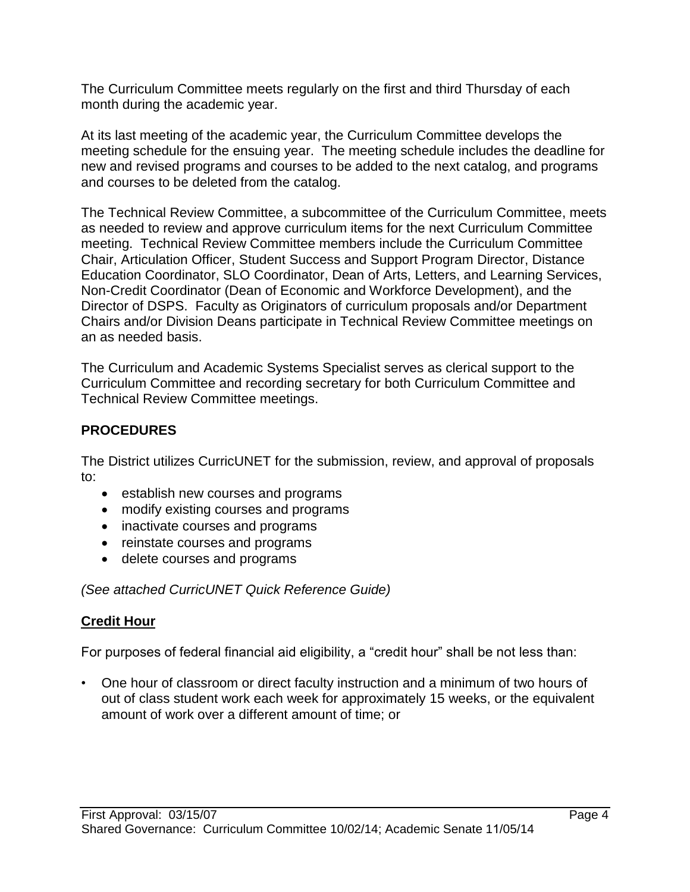The Curriculum Committee meets regularly on the first and third Thursday of each month during the academic year.

At its last meeting of the academic year, the Curriculum Committee develops the meeting schedule for the ensuing year. The meeting schedule includes the deadline for new and revised programs and courses to be added to the next catalog, and programs and courses to be deleted from the catalog.

The Technical Review Committee, a subcommittee of the Curriculum Committee, meets as needed to review and approve curriculum items for the next Curriculum Committee meeting. Technical Review Committee members include the Curriculum Committee Chair, Articulation Officer, Student Success and Support Program Director, Distance Education Coordinator, SLO Coordinator, Dean of Arts, Letters, and Learning Services, Non-Credit Coordinator (Dean of Economic and Workforce Development), and the Director of DSPS. Faculty as Originators of curriculum proposals and/or Department Chairs and/or Division Deans participate in Technical Review Committee meetings on an as needed basis.

The Curriculum and Academic Systems Specialist serves as clerical support to the Curriculum Committee and recording secretary for both Curriculum Committee and Technical Review Committee meetings.

## **PROCEDURES**

The District utilizes CurricUNET for the submission, review, and approval of proposals to:

- establish new courses and programs
- modify existing courses and programs
- inactivate courses and programs
- reinstate courses and programs
- delete courses and programs

*(See attached CurricUNET Quick Reference Guide)* 

## **Credit Hour**

For purposes of federal financial aid eligibility, a "credit hour" shall be not less than:

• One hour of classroom or direct faculty instruction and a minimum of two hours of out of class student work each week for approximately 15 weeks, or the equivalent amount of work over a different amount of time; or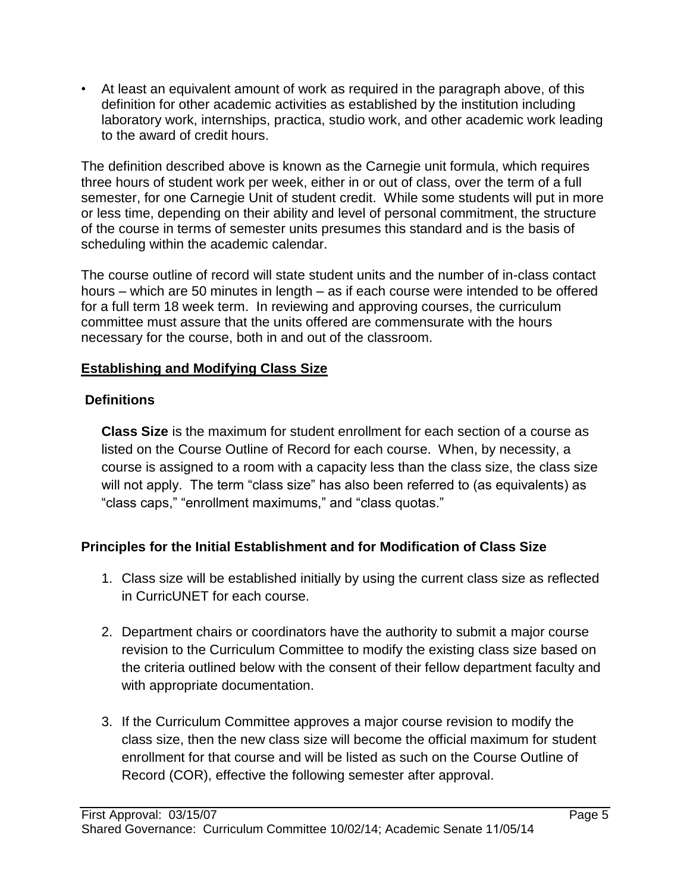• At least an equivalent amount of work as required in the paragraph above, of this definition for other academic activities as established by the institution including laboratory work, internships, practica, studio work, and other academic work leading to the award of credit hours.

The definition described above is known as the Carnegie unit formula, which requires three hours of student work per week, either in or out of class, over the term of a full semester, for one Carnegie Unit of student credit. While some students will put in more or less time, depending on their ability and level of personal commitment, the structure of the course in terms of semester units presumes this standard and is the basis of scheduling within the academic calendar.

The course outline of record will state student units and the number of in-class contact hours – which are 50 minutes in length – as if each course were intended to be offered for a full term 18 week term. In reviewing and approving courses, the curriculum committee must assure that the units offered are commensurate with the hours necessary for the course, both in and out of the classroom.

## **Establishing and Modifying Class Size**

# **Definitions**

**Class Size** is the maximum for student enrollment for each section of a course as listed on the Course Outline of Record for each course. When, by necessity, a course is assigned to a room with a capacity less than the class size, the class size will not apply. The term "class size" has also been referred to (as equivalents) as "class caps," "enrollment maximums," and "class quotas."

# **Principles for the Initial Establishment and for Modification of Class Size**

- 1. Class size will be established initially by using the current class size as reflected in CurricUNET for each course.
- 2. Department chairs or coordinators have the authority to submit a major course revision to the Curriculum Committee to modify the existing class size based on the criteria outlined below with the consent of their fellow department faculty and with appropriate documentation.
- 3. If the Curriculum Committee approves a major course revision to modify the class size, then the new class size will become the official maximum for student enrollment for that course and will be listed as such on the Course Outline of Record (COR), effective the following semester after approval.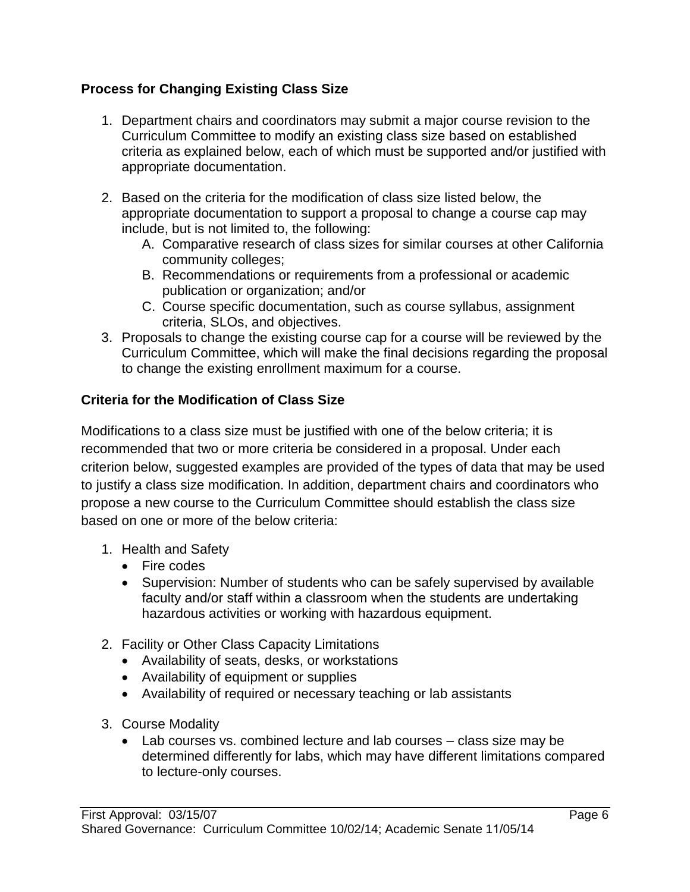## **Process for Changing Existing Class Size**

- 1. Department chairs and coordinators may submit a major course revision to the Curriculum Committee to modify an existing class size based on established criteria as explained below, each of which must be supported and/or justified with appropriate documentation.
- 2. Based on the criteria for the modification of class size listed below, the appropriate documentation to support a proposal to change a course cap may include, but is not limited to, the following:
	- A. Comparative research of class sizes for similar courses at other California community colleges;
	- B. Recommendations or requirements from a professional or academic publication or organization; and/or
	- C. Course specific documentation, such as course syllabus, assignment criteria, SLOs, and objectives.
- 3. Proposals to change the existing course cap for a course will be reviewed by the Curriculum Committee, which will make the final decisions regarding the proposal to change the existing enrollment maximum for a course.

## **Criteria for the Modification of Class Size**

Modifications to a class size must be justified with one of the below criteria; it is recommended that two or more criteria be considered in a proposal. Under each criterion below, suggested examples are provided of the types of data that may be used to justify a class size modification. In addition, department chairs and coordinators who propose a new course to the Curriculum Committee should establish the class size based on one or more of the below criteria:

- 1. Health and Safety
	- Fire codes
	- Supervision: Number of students who can be safely supervised by available faculty and/or staff within a classroom when the students are undertaking hazardous activities or working with hazardous equipment.
- 2. Facility or Other Class Capacity Limitations
	- Availability of seats, desks, or workstations
	- Availability of equipment or supplies
	- Availability of required or necessary teaching or lab assistants
- 3. Course Modality
	- Lab courses vs. combined lecture and lab courses class size may be determined differently for labs, which may have different limitations compared to lecture-only courses.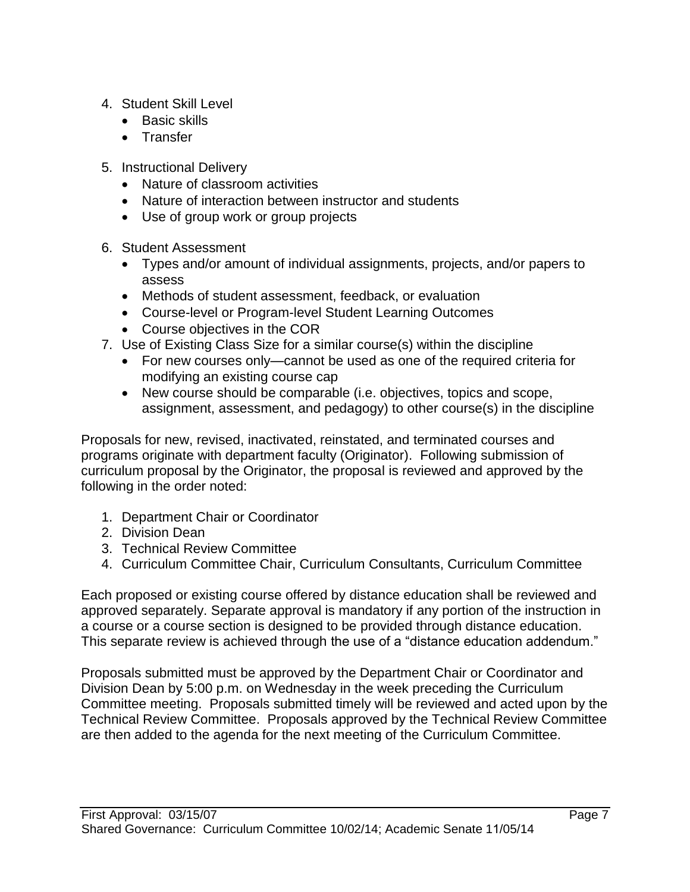- 4. Student Skill Level
	- Basic skills
	- Transfer
- 5. Instructional Delivery
	- Nature of classroom activities
	- Nature of interaction between instructor and students
	- Use of group work or group projects
- 6. Student Assessment
	- Types and/or amount of individual assignments, projects, and/or papers to assess
	- Methods of student assessment, feedback, or evaluation
	- Course-level or Program-level Student Learning Outcomes
	- Course objectives in the COR
- 7. Use of Existing Class Size for a similar course(s) within the discipline
	- For new courses only—cannot be used as one of the required criteria for modifying an existing course cap
	- New course should be comparable (i.e. objectives, topics and scope, assignment, assessment, and pedagogy) to other course(s) in the discipline

Proposals for new, revised, inactivated, reinstated, and terminated courses and programs originate with department faculty (Originator). Following submission of curriculum proposal by the Originator, the proposal is reviewed and approved by the following in the order noted:

- 1. Department Chair or Coordinator
- 2. Division Dean
- 3. Technical Review Committee
- 4. Curriculum Committee Chair, Curriculum Consultants, Curriculum Committee

Each proposed or existing course offered by distance education shall be reviewed and approved separately. Separate approval is mandatory if any portion of the instruction in a course or a course section is designed to be provided through distance education. This separate review is achieved through the use of a "distance education addendum."

Proposals submitted must be approved by the Department Chair or Coordinator and Division Dean by 5:00 p.m. on Wednesday in the week preceding the Curriculum Committee meeting. Proposals submitted timely will be reviewed and acted upon by the Technical Review Committee. Proposals approved by the Technical Review Committee are then added to the agenda for the next meeting of the Curriculum Committee.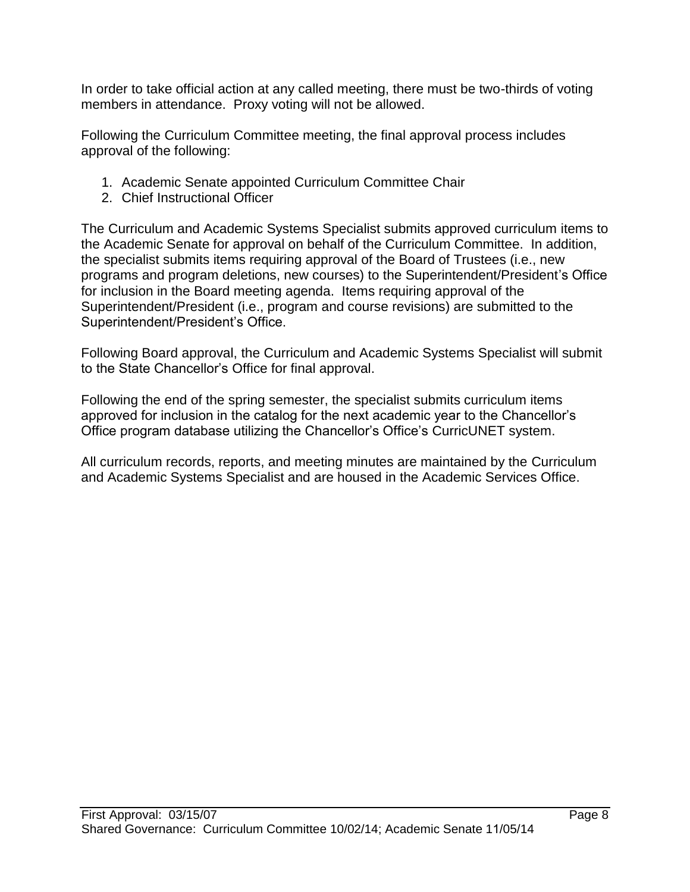In order to take official action at any called meeting, there must be two-thirds of voting members in attendance. Proxy voting will not be allowed.

Following the Curriculum Committee meeting, the final approval process includes approval of the following:

- 1. Academic Senate appointed Curriculum Committee Chair
- 2. Chief Instructional Officer

The Curriculum and Academic Systems Specialist submits approved curriculum items to the Academic Senate for approval on behalf of the Curriculum Committee. In addition, the specialist submits items requiring approval of the Board of Trustees (i.e., new programs and program deletions, new courses) to the Superintendent/President's Office for inclusion in the Board meeting agenda. Items requiring approval of the Superintendent/President (i.e., program and course revisions) are submitted to the Superintendent/President's Office.

Following Board approval, the Curriculum and Academic Systems Specialist will submit to the State Chancellor's Office for final approval.

Following the end of the spring semester, the specialist submits curriculum items approved for inclusion in the catalog for the next academic year to the Chancellor's Office program database utilizing the Chancellor's Office's CurricUNET system.

All curriculum records, reports, and meeting minutes are maintained by the Curriculum and Academic Systems Specialist and are housed in the Academic Services Office.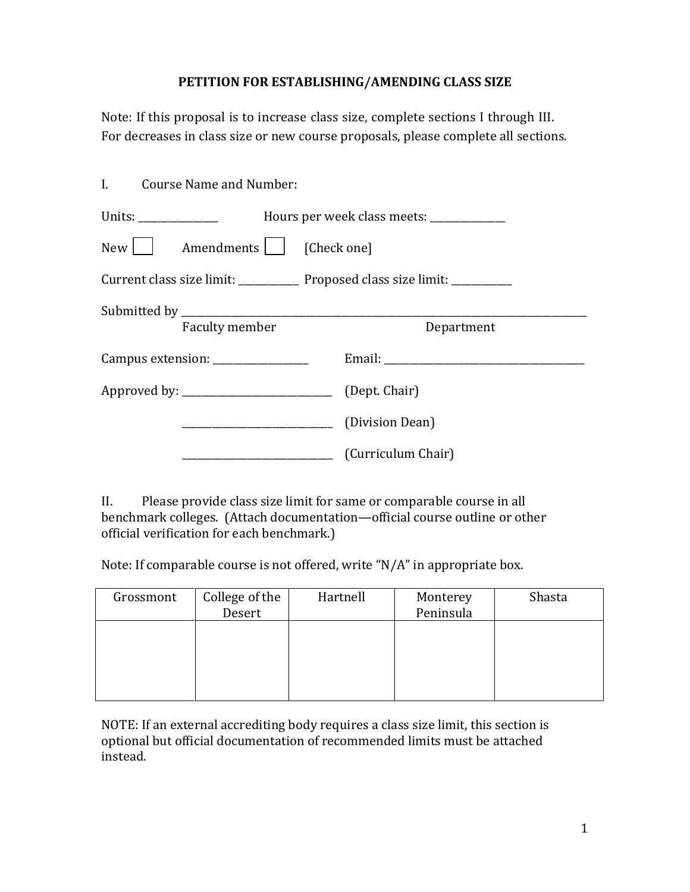## **PETITION FOR ESTABLISHING/AMENDING CLASS SIZE**

Note: If this proposal is to increase class size, complete sections I through III. For decreases in class size or new course proposals, please complete all sections.

| I. Course Name and Number:         |                                                                                                                                                                                                                                |
|------------------------------------|--------------------------------------------------------------------------------------------------------------------------------------------------------------------------------------------------------------------------------|
|                                    |                                                                                                                                                                                                                                |
| New     Amendments     [Check one] |                                                                                                                                                                                                                                |
|                                    | Current class size limit: ______________ Proposed class size limit: ____________                                                                                                                                               |
|                                    |                                                                                                                                                                                                                                |
| Faculty member                     | Department                                                                                                                                                                                                                     |
| Campus extension: ________________ | Email: The contract of the contract of the contract of the contract of the contract of the contract of the contract of the contract of the contract of the contract of the contract of the contract of the contract of the con |
|                                    |                                                                                                                                                                                                                                |
|                                    | (Division Dean)                                                                                                                                                                                                                |
|                                    | (Curriculum Chair)                                                                                                                                                                                                             |

II. Please provide class size limit for same or comparable course in all benchmark colleges. (Attach documentation—official course outline or other official verification for each benchmark.)

Note: If comparable course is not offered, write "N/A" in appropriate box.

| Grossmont | College of the<br>Desert | Hartnell | Monterey<br>Peninsula | Shasta |
|-----------|--------------------------|----------|-----------------------|--------|
|           |                          |          |                       |        |
|           |                          |          |                       |        |
|           |                          |          |                       |        |

NOTE: If an external accrediting body requires a class size limit, this section is optional but official documentation of recommended limits must be attached instead.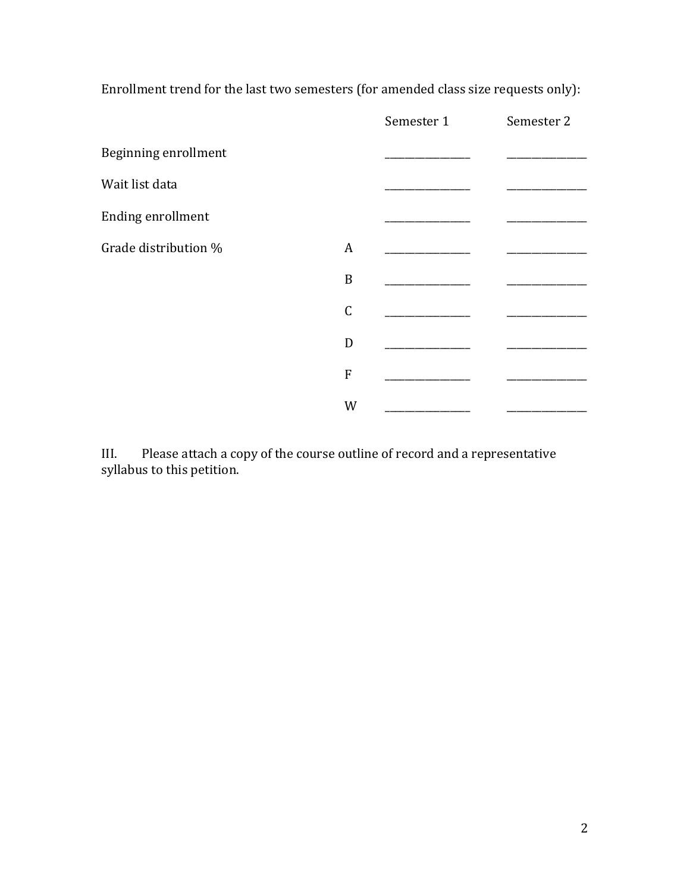Enrollment trend for the last two semesters (for amended class size requests only):

|                      |             | Semester 1 | Semester 2 |
|----------------------|-------------|------------|------------|
| Beginning enrollment |             |            |            |
| Wait list data       |             |            |            |
| Ending enrollment    |             |            |            |
| Grade distribution % | A           |            |            |
|                      | B           |            |            |
|                      | $\mathsf C$ |            |            |
|                      | D           |            |            |
|                      | ${\bf F}$   |            |            |
|                      | W           |            |            |

III. Please attach a copy of the course outline of record and a representative syllabus to this petition.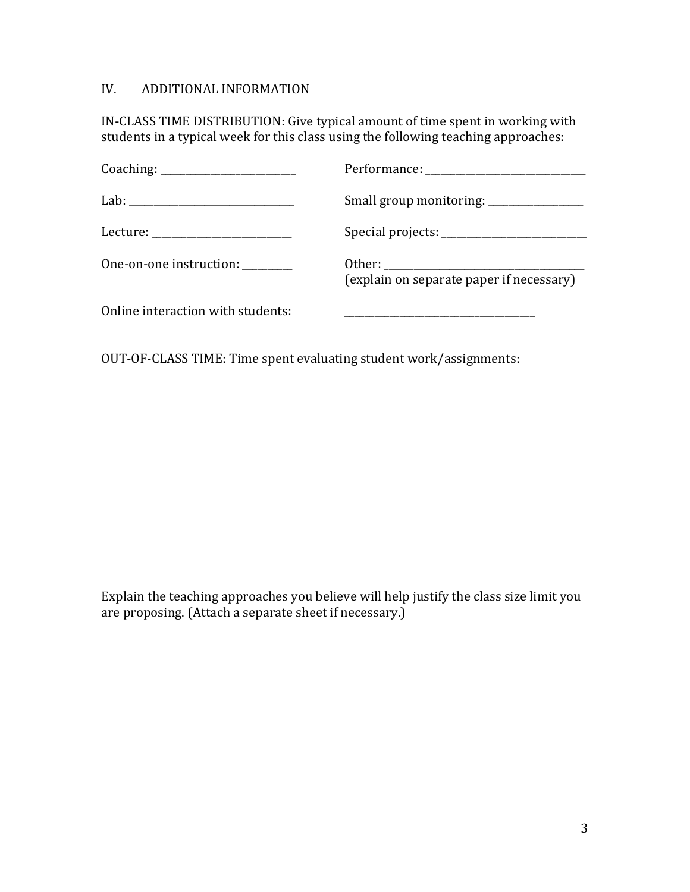## IV. ADDITIONAL INFORMATION

IN-CLASS TIME DISTRIBUTION: Give typical amount of time spent in working with students in a typical week for this class using the following teaching approaches:

| Lecture: ___________________________ |                                          |
|--------------------------------------|------------------------------------------|
| One-on-one instruction: ________     | (explain on separate paper if necessary) |
| Online interaction with students:    |                                          |

OUT-OF-CLASS TIME: Time spent evaluating student work/assignments:

Explain the teaching approaches you believe will help justify the class size limit you are proposing. (Attach a separate sheet if necessary.)